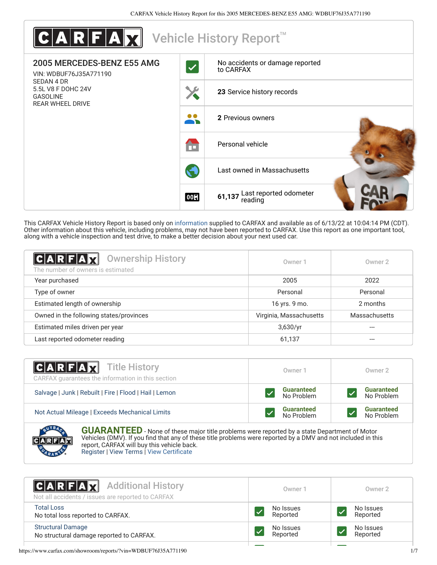

This CARFAX Vehicle History Report is based only on [information](http://www.carfax.com/company/vhr-data-sources) supplied to CARFAX and available as of 6/13/22 at 10:04:14 PM (CDT). Other information about this vehicle, including problems, may not have been reported to CARFAX. Use this report as one important tool, along with a vehicle inspection and test drive, to make a better decision about your next used car.

<span id="page-0-1"></span>

| C A R F A Z <br><b>Ownership History</b><br>The number of owners is estimated | Owner 1                 | Owner 2       |
|-------------------------------------------------------------------------------|-------------------------|---------------|
| Year purchased                                                                | 2005                    | 2022          |
| Type of owner                                                                 | Personal                | Personal      |
| Estimated length of ownership                                                 | 16 yrs. 9 mo.           | 2 months      |
| Owned in the following states/provinces                                       | Virginia, Massachusetts | Massachusetts |
| Estimated miles driven per year                                               | 3,630/yr                |               |
| Last reported odometer reading                                                | 61,137                  |               |

| <b>CARFAX</b> Title History<br>CARFAX guarantees the information in this section | Owner 1                         | Owner 2                         |
|----------------------------------------------------------------------------------|---------------------------------|---------------------------------|
| Salvage   Junk   Rebuilt   Fire   Flood   Hail   Lemon                           | <b>Guaranteed</b><br>No Problem | <b>Guaranteed</b><br>No Problem |
| Not Actual Mileage   Exceeds Mechanical Limits                                   | <b>Guaranteed</b><br>No Problem | <b>Guaranteed</b><br>No Problem |
| <b>AVBA</b>                                                                      |                                 |                                 |

**GUARANTEED** - None of these major title problems were reported by a state Department of Motor Vehicles (DMV). If you find that any of these title problems were reported by a DMV and not included in this report, CARFAX will buy this vehicle back. [Register](https://www.carfax.com/Service/bbg) | [View Terms](https://www.carfax.com/company/carfax-buyback-guarantee-terms-and-conditions) | [View Certificate](https://www.carfax.com/showroom/reports/?vin=WDBUF76J35A771190)

<span id="page-0-0"></span>

| <b>CARFAX</b> Additional History<br>Not all accidents / issues are reported to CARFAX | Owner 1               | Owner 2               |
|---------------------------------------------------------------------------------------|-----------------------|-----------------------|
| <b>Total Loss</b><br>No total loss reported to CARFAX.                                | No Issues<br>Reported | No Issues<br>Reported |
| <b>Structural Damage</b><br>No structural damage reported to CARFAX.                  | No Issues<br>Reported | No Issues<br>Reported |
|                                                                                       |                       |                       |

https://www.carfax.com/showroom/reports/?vin=WDBUF76J35A771190 1/7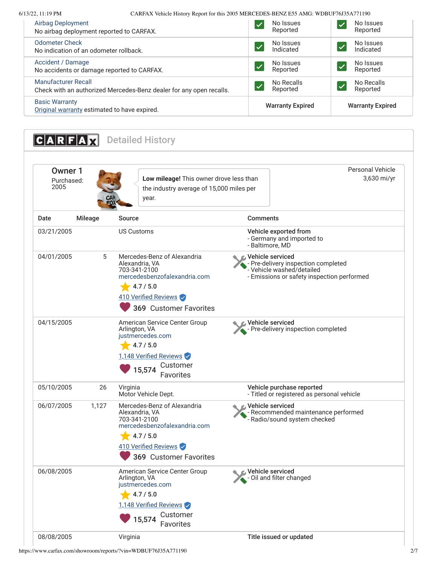6/13/22, 11:19 PM CARFAX Vehicle History Report for this 2005 MERCEDES-BENZ E55 AMG: WDBUF76J35A771190

| Airbag Deployment                                                     | No Issues               | No Issues               |
|-----------------------------------------------------------------------|-------------------------|-------------------------|
| No airbag deployment reported to CARFAX.                              | Reported                | Reported                |
| <b>Odometer Check</b>                                                 | No Issues               | No Issues               |
| No indication of an odometer rollback.                                | Indicated               | Indicated               |
| Accident / Damage                                                     | No Issues               | No Issues               |
| No accidents or damage reported to CARFAX.                            | Reported                | Reported                |
| <b>Manufacturer Recall</b>                                            | No Recalls              | No Recalls              |
| Check with an authorized Mercedes-Benz dealer for any open recalls.   | Reported                | Reported                |
| <b>Basic Warranty</b><br>Original warranty estimated to have expired. | <b>Warranty Expired</b> | <b>Warranty Expired</b> |

<span id="page-1-0"></span>**CARFAX** Detailed History Owner 1 Purchased: 2005 **Low mileage!** This owner drove less than the industry average of 15,000 miles per year. Personal Vehicle 3,630 mi/yr Date Mileage Source **Comments** 03/21/2005 US Customs **Vehicle exported from** - Germany and imported to - Baltimore, MD 04/01/2005 5 [Mercedes-Benz of Alexandria](http://www.mercedesbenzofalexandria.com/) Alexandria, VA 703-341-2100 [mercedesbenzofalexandria.com](http://www.mercedesbenzofalexandria.com/)  $-4.7/5.0$ 410 Verified Reviews Vehicle serviced - Pre-delivery inspection completed - Vehicle washed/detailed - Emissions or safety inspection performed 04/15/2005 [American Service Center Group](http://www.justmercedes.com/) Arlington, VA [justmercedes.com](http://www.justmercedes.com/)  $-4.7/5.0$ 1,148 Verified Reviews Vehicle serviced - Pre-delivery inspection completed 05/10/2005 26 Virginia Motor Vehicle Dept. Vehicle purchase reported - Titled or registered as personal vehicle 06/07/2005 1,127 [Mercedes-Benz of Alexandria](http://www.mercedesbenzofalexandria.com/) Alexandria, VA 703-341-2100 [mercedesbenzofalexandria.com](http://www.mercedesbenzofalexandria.com/)  $-4.7/5.0$ 410 Verified Reviews Vehicle serviced - Recommended maintenance performed - Radio/sound system checked 06/08/2005 [American Service Center Group](http://www.justmercedes.com/) Arlington, VA [justmercedes.com](http://www.justmercedes.com/)  $4.7 / 5.0$ 1,148 Verified Reviews Vehicle serviced **A** - Oil and filter changed 08/08/2005 Virginia Title issued or updated versions of the Virginia <sup>369</sup> Customer Favorites 15,574 Customer<br>Favorites <sup>369</sup> Customer Favorites 15,574 Customer Favorites

https://www.carfax.com/showroom/reports/?vin=WDBUF76J35A771190 2/7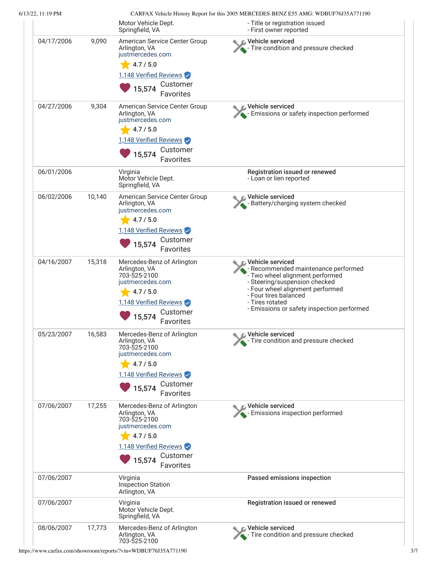|            |        | Motor Vehicle Dept.<br>Springfield, VA                                                                                                                    | - Title or registration issued<br>- First owner reported                                                                                                                                                                                                           |
|------------|--------|-----------------------------------------------------------------------------------------------------------------------------------------------------------|--------------------------------------------------------------------------------------------------------------------------------------------------------------------------------------------------------------------------------------------------------------------|
| 04/17/2006 | 9,090  | American Service Center Group<br>Arlington, VA<br>justmercedes.com<br>4.7/5.0<br>1,148 Verified Reviews<br>Customer<br>15,574<br>Favorites                | C Vehicle serviced<br>Tire condition and pressure checked                                                                                                                                                                                                          |
| 04/27/2006 | 9,304  | American Service Center Group<br>Arlington, VA<br>justmercedes.com<br>4.7 / 5.0<br>1,148 Verified Reviews<br>Customer<br>15,574<br>Favorites              | Vehicle serviced<br>Emissions or safety inspection performed                                                                                                                                                                                                       |
| 06/01/2006 |        | Virginia<br>Motor Vehicle Dept.<br>Springfield, VA                                                                                                        | Registration issued or renewed<br>- Loan or lien reported                                                                                                                                                                                                          |
| 06/02/2006 | 10,140 | American Service Center Group<br>Arlington, VA<br>justmercedes.com<br>4.7 / 5.0<br>1,148 Verified Reviews<br>Customer<br>15,574<br>Favorites              | Vehicle serviced<br>- Battery/charging system checked                                                                                                                                                                                                              |
| 04/16/2007 | 15,318 | Mercedes-Benz of Arlington<br>Arlington, VA<br>703-525-2100<br>justmercedes.com<br>4.7 / 5.0<br>1,148 Verified Reviews<br>Customer<br>15,574<br>Favorites | <b>€</b> Vehicle serviced<br>- Recommended maintenance performed<br>- Two wheel alignment performed<br>- Steering/suspension checked<br>- Four wheel alignment performed<br>- Four tires balanced<br>- Tires rotated<br>- Emissions or safety inspection performed |
| 05/23/2007 | 16,583 | Mercedes-Benz of Arlington<br>Arlington, VA<br>703-525-2100<br>justmercedes.com<br>4.7 / 5.0<br>1,148 Verified Reviews<br>Customer<br>15,574<br>Favorites | Vehicle serviced<br>Tire condition and pressure checked                                                                                                                                                                                                            |
| 07/06/2007 | 17,255 | Mercedes-Benz of Arlington<br>Arlington, VA<br>703-525-2100<br>justmercedes.com<br>4.7 / 5.0<br>1,148 Verified Reviews<br>Customer<br>15,574<br>Favorites | Vehicle serviced<br>Emissions inspection performed                                                                                                                                                                                                                 |
| 07/06/2007 |        | Virginia<br><b>Inspection Station</b><br>Arlington, VA                                                                                                    | Passed emissions inspection                                                                                                                                                                                                                                        |
| 07/06/2007 |        | Virginia<br>Motor Vehicle Dept.<br>Springfield, VA                                                                                                        | Registration issued or renewed                                                                                                                                                                                                                                     |
| 08/06/2007 | 17,773 | Mercedes-Benz of Arlington<br>Arlington, VA<br>703-525-2100                                                                                               | Vehicle serviced<br>Tire condition and pressure checked                                                                                                                                                                                                            |

https://www.carfax.com/showroom/reports/?vin=WDBUF76J35A771190 3/7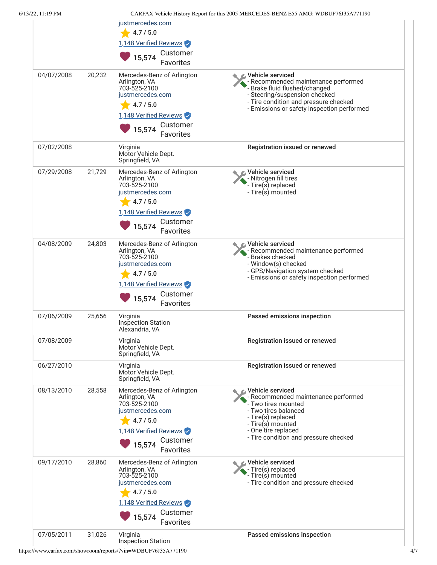| 6/13/22, 11:19 PM |        | justmercedes.com<br>4.7 / 5.0<br>1,148 Verified Reviews<br>Customer<br>15,574                                                                                                  | CARFAX Vehicle History Report for this 2005 MERCEDES-BENZ E55 AMG: WDBUF76J35A771190                                                                                                                                              |
|-------------------|--------|--------------------------------------------------------------------------------------------------------------------------------------------------------------------------------|-----------------------------------------------------------------------------------------------------------------------------------------------------------------------------------------------------------------------------------|
| 04/07/2008        | 20,232 | <b>Favorites</b><br>Mercedes-Benz of Arlington<br>Arlington, VA<br>703-525-2100<br>justmercedes.com<br>$-4.7/5.0$<br>1,148 Verified Reviews<br>Customer<br>15,574<br>Favorites | Vehicle serviced<br>- Recommended maintenance performed<br>- Brake fluid flushed/changed<br>- Steering/suspension checked<br>- Tire condition and pressure checked<br>- Emissions or safety inspection performed                  |
| 07/02/2008        |        | Virginia<br>Motor Vehicle Dept.<br>Springfield, VA                                                                                                                             | Registration issued or renewed                                                                                                                                                                                                    |
| 07/29/2008        | 21,729 | Mercedes-Benz of Arlington<br>Arlington, VA<br>703-525-2100<br>justmercedes.com<br>4.7 / 5.0<br>1,148 Verified Reviews<br>Customer<br>15,574<br>Favorites                      | rehicle serviced∧<br>- Nitrogen fill tires<br>- Tire(s) replaced<br>- Tire(s) mounted                                                                                                                                             |
| 04/08/2009        | 24,803 | Mercedes-Benz of Arlington<br>Arlington, VA<br>703-525-2100<br>justmercedes.com<br>4.7 / 5.0<br>1,148 Verified Reviews<br>Customer<br>15,574<br>Favorites                      | Vehicle serviced<br>- Recommended maintenance performed<br>- Brakes checked<br>- Window(s) checked<br>- GPS/Navigation system checked<br>- Emissions or safety inspection performed                                               |
| 07/06/2009        | 25,656 | Virginia<br><b>Inspection Station</b><br>Alexandria, VA                                                                                                                        | Passed emissions inspection                                                                                                                                                                                                       |
| 07/08/2009        |        | Virginia<br>Motor Vehicle Dept.<br>Springfield, VA                                                                                                                             | Registration issued or renewed                                                                                                                                                                                                    |
| 06/27/2010        |        | Virginia<br>Motor Vehicle Dept.<br>Springfield, VA                                                                                                                             | Registration issued or renewed                                                                                                                                                                                                    |
| 08/13/2010        | 28,558 | Mercedes-Benz of Arlington<br>Arlington, VA<br>703-525-2100<br>justmercedes.com<br>4.7 / 5.0<br>1,148 Verified Reviews<br>Customer<br>15,574<br>Favorites                      | <b><i>L</i></b> Vehicle serviced<br>- Recommended maintenance performed<br>- Two tires mounted<br>- Two tires balanced<br>- Tire(s) replaced<br>- Tire(s) mounted<br>- One tire replaced<br>- Tire condition and pressure checked |
| 09/17/2010        | 28,860 | Mercedes-Benz of Arlington<br>Arlington, VA<br>703-525-2100<br>justmercedes.com<br>4.7 / 5.0<br>1,148 Verified Reviews<br>Customer<br>15,574<br>Favorites                      | Vehicle serviced<br>- Tire(s) replaced<br>- Tire(s) mounted<br>- Tire condition and pressure checked                                                                                                                              |
| 07/05/2011        | 31,026 | Virginia<br>Inspection Station                                                                                                                                                 | Passed emissions inspection                                                                                                                                                                                                       |

https://www.carfax.com/showroom/reports/?vin=WDBUF76J35A771190 4/7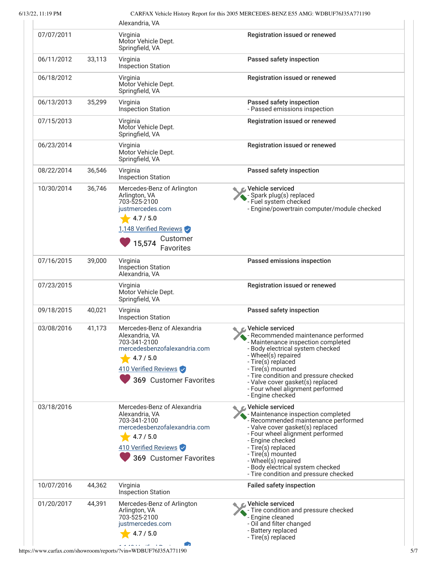6/13/22, 11:19 PM CARFAX Vehicle History Report for this 2005 MERCEDES-BENZ E55 AMG: WDBUF76J35A771190

|            |        | Alexandria, VA                                                                                                                                                   |                                                                                                                                                                                                                                                                                                                                            |
|------------|--------|------------------------------------------------------------------------------------------------------------------------------------------------------------------|--------------------------------------------------------------------------------------------------------------------------------------------------------------------------------------------------------------------------------------------------------------------------------------------------------------------------------------------|
| 07/07/2011 |        | Virginia<br>Motor Vehicle Dept.<br>Springfield, VA                                                                                                               | Registration issued or renewed                                                                                                                                                                                                                                                                                                             |
| 06/11/2012 | 33,113 | Virginia<br><b>Inspection Station</b>                                                                                                                            | Passed safety inspection                                                                                                                                                                                                                                                                                                                   |
| 06/18/2012 |        | Virginia<br>Motor Vehicle Dept.<br>Springfield, VA                                                                                                               | Registration issued or renewed                                                                                                                                                                                                                                                                                                             |
| 06/13/2013 | 35,299 | Virginia<br><b>Inspection Station</b>                                                                                                                            | Passed safety inspection<br>- Passed emissions inspection                                                                                                                                                                                                                                                                                  |
| 07/15/2013 |        | Virginia<br>Motor Vehicle Dept.<br>Springfield, VA                                                                                                               | Registration issued or renewed                                                                                                                                                                                                                                                                                                             |
| 06/23/2014 |        | Virginia<br>Motor Vehicle Dept.<br>Springfield, VA                                                                                                               | Registration issued or renewed                                                                                                                                                                                                                                                                                                             |
| 08/22/2014 | 36,546 | Virginia<br><b>Inspection Station</b>                                                                                                                            | Passed safety inspection                                                                                                                                                                                                                                                                                                                   |
| 10/30/2014 | 36,746 | Mercedes-Benz of Arlington<br>Arlington, VA<br>703-525-2100<br>justmercedes.com<br>4.7 / 5.0<br>1,148 Verified Reviews<br>Customer<br>15,574<br><b>Favorites</b> | Vehicle serviced<br>- Spark plug(s) replaced<br>- Fuel system checked<br>- Engine/powertrain computer/module checked                                                                                                                                                                                                                       |
| 07/16/2015 | 39,000 | Virginia<br><b>Inspection Station</b><br>Alexandria, VA                                                                                                          | Passed emissions inspection                                                                                                                                                                                                                                                                                                                |
| 07/23/2015 |        | Virginia<br>Motor Vehicle Dept.<br>Springfield, VA                                                                                                               | Registration issued or renewed                                                                                                                                                                                                                                                                                                             |
| 09/18/2015 | 40,021 | Virginia<br><b>Inspection Station</b>                                                                                                                            | Passed safety inspection                                                                                                                                                                                                                                                                                                                   |
| 03/08/2016 | 41,173 | Mercedes-Benz of Alexandria<br>Alexandria, VA<br>703-341-2100<br>mercedesbenzofalexandria.com<br>4.7 / 5.0<br>410 Verified Reviews<br>369 Customer Favorites     | C Vehicle serviced<br>- Recommended maintenance performed<br>- Maintenance inspection completed<br>- Body electrical system checked<br>- Wheel(s) repaired<br>- Tire(s) replaced<br>- Tire(s) mounted<br>- Tire condition and pressure checked<br>- Valve cover gasket(s) replaced<br>- Four wheel alignment performed<br>- Engine checked |
| 03/18/2016 |        | Mercedes-Benz of Alexandria<br>Alexandria, VA<br>703-341-2100<br>mercedesbenzofalexandria.com<br>4.7 / 5.0<br>410 Verified Reviews<br>369 Customer Favorites     | Vehicle serviced<br>- Maintenance inspection completed<br>- Recommended maintenance performed<br>- Valve cover gasket(s) replaced<br>- Four wheel alignment performed<br>- Engine checked<br>- Tire(s) replaced<br>- Tire(s) mounted<br>- Wheel(s) repaired<br>- Body electrical system checked<br>- Tire condition and pressure checked   |
| 10/07/2016 | 44,362 | Virginia<br><b>Inspection Station</b>                                                                                                                            | <b>Failed safety inspection</b>                                                                                                                                                                                                                                                                                                            |
| 01/20/2017 | 44,391 | Mercedes-Benz of Arlington<br>Arlington, VA<br>703-525-2100<br>justmercedes.com<br>4.7 / 5.0                                                                     | Vehicle serviced<br>- Tire condition and pressure checked<br>- Engine cleaned<br>- Oil and filter changed<br>- Battery replaced<br>- Tire(s) replaced                                                                                                                                                                                      |
|            |        |                                                                                                                                                                  |                                                                                                                                                                                                                                                                                                                                            |

https://www.carfax.com/showroom/reports/?vin=WDBUF76J35A771190 5/7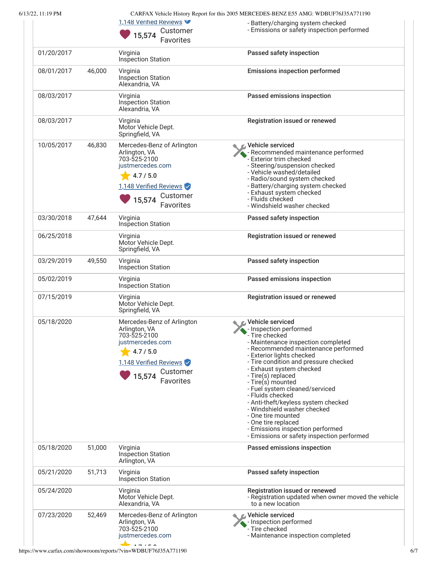| $6/13/22$ , 11:19 PM |  |  |
|----------------------|--|--|
|                      |  |  |

CARFAX Vehicle History Report for this 2005 MERCEDES-BENZ E55 AMG: WDBUF76J35A771190

|            |        | 1,148 Verified Reviews<br>Customer<br>15,574<br>Favorites                                                                                                        | - Battery/charging system checked<br>- Emissions or safety inspection performed                                                                                                                                                                                                                                                                                                                                                                                                                                                                   |
|------------|--------|------------------------------------------------------------------------------------------------------------------------------------------------------------------|---------------------------------------------------------------------------------------------------------------------------------------------------------------------------------------------------------------------------------------------------------------------------------------------------------------------------------------------------------------------------------------------------------------------------------------------------------------------------------------------------------------------------------------------------|
| 01/20/2017 |        | Virginia<br>Inspection Station                                                                                                                                   | Passed safety inspection                                                                                                                                                                                                                                                                                                                                                                                                                                                                                                                          |
| 08/01/2017 | 46,000 | Virginia<br><b>Inspection Station</b><br>Alexandria, VA                                                                                                          | <b>Emissions inspection performed</b>                                                                                                                                                                                                                                                                                                                                                                                                                                                                                                             |
| 08/03/2017 |        | Virginia<br>Inspection Station<br>Alexandria, VA                                                                                                                 | Passed emissions inspection                                                                                                                                                                                                                                                                                                                                                                                                                                                                                                                       |
| 08/03/2017 |        | Virginia<br>Motor Vehicle Dept.<br>Springfield, VA                                                                                                               | Registration issued or renewed                                                                                                                                                                                                                                                                                                                                                                                                                                                                                                                    |
| 10/05/2017 | 46,830 | Mercedes-Benz of Arlington<br>Arlington, VA<br>703-525-2100<br>justmercedes.com<br>4.7 / 5.0<br>1,148 Verified Reviews<br>Customer<br>15,574<br>Favorites        | <b>⊘</b> Vehicle serviced<br>- Recommended maintenance performed<br>- Exterior trim checked<br>- Steering/suspension checked<br>- Vehicle washed/detailed<br>- Radio/sound system checked<br>- Battery/charging system checked<br>- Exhaust system checked<br>- Fluids checked<br>- Windshield washer checked                                                                                                                                                                                                                                     |
| 03/30/2018 | 47,644 | Virginia<br><b>Inspection Station</b>                                                                                                                            | Passed safety inspection                                                                                                                                                                                                                                                                                                                                                                                                                                                                                                                          |
| 06/25/2018 |        | Virginia<br>Motor Vehicle Dept.<br>Springfield, VA                                                                                                               | Registration issued or renewed                                                                                                                                                                                                                                                                                                                                                                                                                                                                                                                    |
| 03/29/2019 | 49,550 | Virginia<br><b>Inspection Station</b>                                                                                                                            | Passed safety inspection                                                                                                                                                                                                                                                                                                                                                                                                                                                                                                                          |
| 05/02/2019 |        | Virginia<br><b>Inspection Station</b>                                                                                                                            | Passed emissions inspection                                                                                                                                                                                                                                                                                                                                                                                                                                                                                                                       |
| 07/15/2019 |        | Virginia<br>Motor Vehicle Dept.<br>Springfield, VA                                                                                                               | Registration issued or renewed                                                                                                                                                                                                                                                                                                                                                                                                                                                                                                                    |
| 05/18/2020 |        | Mercedes-Benz of Arlington<br>Arlington, VA<br>703-525-2100<br>justmercedes.com<br>4.7 / 5.0<br>1,148 Verified Reviews<br>Customer<br>15,574<br><b>Favorites</b> | Vehicle serviced<br>- Inspection performed<br>- Tire checked<br>- Maintenance inspection completed<br>- Recommended maintenance performed<br>- Exterior lights checked<br>- Tire condition and pressure checked<br>- Exhaust system checked<br>- Tire(s) replaced<br>- Tire(s) mounted<br>- Fuel system cleaned/serviced<br>- Fluids checked<br>- Anti-theft/keyless system checked<br>- Windshield washer checked<br>- One tire mounted<br>- One tire replaced<br>- Emissions inspection performed<br>- Emissions or safety inspection performed |
| 05/18/2020 | 51,000 | Virginia<br><b>Inspection Station</b><br>Arlington, VA                                                                                                           | Passed emissions inspection                                                                                                                                                                                                                                                                                                                                                                                                                                                                                                                       |
| 05/21/2020 | 51,713 | Virginia<br><b>Inspection Station</b>                                                                                                                            | Passed safety inspection                                                                                                                                                                                                                                                                                                                                                                                                                                                                                                                          |
| 05/24/2020 |        | Virginia<br>Motor Vehicle Dept.<br>Alexandria, VA                                                                                                                | Registration issued or renewed<br>- Registration updated when owner moved the vehicle<br>to a new location                                                                                                                                                                                                                                                                                                                                                                                                                                        |
| 07/23/2020 | 52,469 | Mercedes-Benz of Arlington<br>Arlington, VA<br>703-525-2100<br>justmercedes.com<br>$\rightarrow$ $\rightarrow$ $\rightarrow$ $\rightarrow$                       | Vehicle serviced<br>- Inspection performed<br>- Tire checked<br>- Maintenance inspection completed                                                                                                                                                                                                                                                                                                                                                                                                                                                |